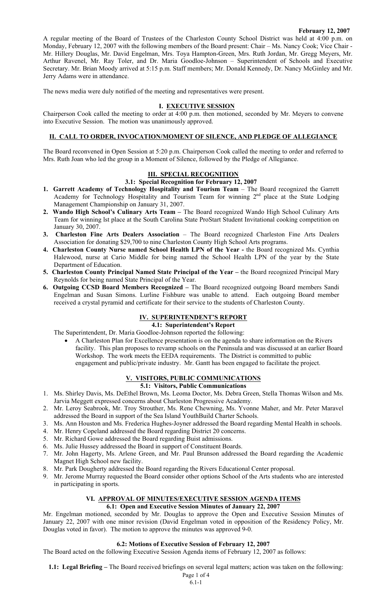#### **February 12, 2007**

A regular meeting of the Board of Trustees of the Charleston County School District was held at 4:00 p.m. on Monday, February 12, 2007 with the following members of the Board present: Chair – Ms. Nancy Cook; Vice Chair - Mr. Hillery Douglas, Mr. David Engelman, Mrs. Toya Hampton-Green, Mrs. Ruth Jordan, Mr. Gregg Meyers, Mr. Arthur Ravenel, Mr. Ray Toler, and Dr. Maria Goodloe-Johnson – Superintendent of Schools and Executive Secretary. Mr. Brian Moody arrived at 5:15 p.m. Staff members; Mr. Donald Kennedy, Dr. Nancy McGinley and Mr. Jerry Adams were in attendance.

The news media were duly notified of the meeting and representatives were present.

#### **I. EXECUTIVE SESSION**

Chairperson Cook called the meeting to order at 4:00 p.m. then motioned, seconded by Mr. Meyers to convene into Executive Session. The motion was unanimously approved.

## **II. CALL TO ORDER, INVOCATION/MOMENT OF SILENCE, AND PLEDGE OF ALLEGIANCE**

The Board reconvened in Open Session at 5:20 p.m. Chairperson Cook called the meeting to order and referred to Mrs. Ruth Joan who led the group in a Moment of Silence, followed by the Pledge of Allegiance.

# **III. SPECIAL RECOGNITION**

## **3.1: Special Recognition for February 12, 2007**

- 1. Garrett Academy of Technology Hospitality and Tourism Team The Board recognized the Garrett Academy for Technology Hospitality and Tourism Team for winning 2<sup>nd</sup> place at the State Lodging Management Championship on January 31, 2007.
- **2. Wando High School's Culinary Arts Team** The Board recognized Wando High School Culinary Arts Team for winning lst place at the South Carolina State ProStart Student Invitational cooking competition on January 30, 2007.
- **3. Charleston Fine Arts Dealers Association**  The Board recognized Charleston Fine Arts Dealers Association for donating \$29,700 to nine Charleston County High School Arts programs.
- **4. Charleston County Nurse named School Health LPN of the Year** the Board recognized Ms. Cynthia Halewood, nurse at Cario Middle for being named the School Health LPN of the year by the State Department of Education.
- **5. Charleston County Principal Named State Principal of the Year** the Board recognized Principal Mary Reynolds for being named State Principal of the Year.
- **6. Outgoing CCSD Board Members Recognized** The Board recognized outgoing Board members Sandi Engelman and Susan Simons. Lurline Fishbure was unable to attend. Each outgoing Board member received a crystal pyramid and certificate for their service to the students of Charleston County.

# **IV. SUPERINTENDENT'S REPORT**

# **4.1: Superintendent's Report**

The Superintendent, Dr. Maria Goodloe-Johnson reported the following:

• A Charleston Plan for Excellence presentation is on the agenda to share information on the Rivers facility. This plan proposes to revamp schools on the Peninsula and was discussed at an earlier Board Workshop. The work meets the EEDA requirements. The District is committed to public engagement and public/private industry. Mr. Gantt has been engaged to facilitate the project.

# **V. VISITORS, PUBLIC COMMUNICATIONS**

## **5.1: Visitors, Public Communications**

- 1. Ms. Shirley Davis, Ms. DeEthel Brown, Ms. Leoma Doctor, Ms. Debra Green, Stella Thomas Wilson and Ms. Jarvia Meggett expressed concerns about Charleston Progressive Academy.
- 2. Mr. Leroy Seabrook, Mr. Troy Strouther, Ms. Rene Chewning, Ms. Yvonne Maher, and Mr. Peter Maravel addressed the Board in support of the Sea Island YouthBuild Charter Schools.
- 3. Ms. Ann Houston and Ms. Frederica Hughes-Joyner addressed the Board regarding Mental Health in schools.
- 4. Mr. Henry Copeland addressed the Board regarding District 20 concerns.
- 5. Mr. Richard Gowe addressed the Board regarding Buist admissions.
- 6. Ms. Julie Hussey addressed the Board in support of Constituent Boards.
- 7. Mr. John Hagerty, Ms. Arlene Green, and Mr. Paul Brunson addressed the Board regarding the Academic Magnet High School new facility.
- 8. Mr. Park Dougherty addressed the Board regarding the Rivers Educational Center proposal.
- 9. Mr. Jerome Murray requested the Board consider other options School of the Arts students who are interested in participating in sports.

#### **VI. APPROVAL OF MINUTES/EXECUTIVE SESSION AGENDA ITEMS 6.1: Open and Executive Session Minutes of January 22, 2007**

Mr. Engelman motioned, seconded by Mr. Douglas to approve the Open and Executive Session Minutes of January 22, 2007 with one minor revision (David Engelman voted in opposition of the Residency Policy, Mr. Douglas voted in favor). The motion to approve the minutes was approved 9-0.

## **6.2: Motions of Executive Session of February 12, 2007**

The Board acted on the following Executive Session Agenda items of February 12, 2007 as follows:

**1.1: Legal Briefing –** The Board received briefings on several legal matters; action was taken on the following: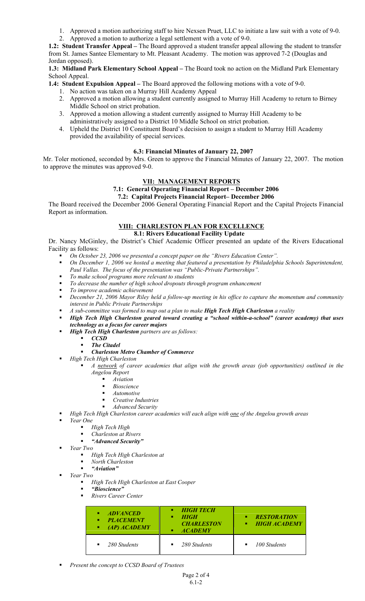- 1. Approved a motion authorizing staff to hire Nexsen Pruet, LLC to initiate a law suit with a vote of 9-0.
- 2. Approved a motion to authorize a legal settlement with a vote of 9-0.

**1.2: Student Transfer Appeal –** The Board approved a student transfer appeal allowing the student to transfer from St. James Santee Elementary to Mt. Pleasant Academy. The motion was approved 7-2 (Douglas and Jordan opposed).

**1.3: Midland Park Elementary School Appeal –** The Board took no action on the Midland Park Elementary School Appeal.

**1.4: Student Expulsion Appeal –** The Board approved the following motions with a vote of 9-0.

- 1. No action was taken on a Murray Hill Academy Appeal
- 2. Approved a motion allowing a student currently assigned to Murray Hill Academy to return to Birney Middle School on strict probation.
- 3. Approved a motion allowing a student currently assigned to Murray Hill Academy to be administratively assigned to a District 10 Middle School on strict probation.
- 4. Upheld the District 10 Constituent Board's decision to assign a student to Murray Hill Academy provided the availability of special services.

# **6.3: Financial Minutes of January 22, 2007**

Mr. Toler motioned, seconded by Mrs. Green to approve the Financial Minutes of January 22, 2007. The motion to approve the minutes was approved 9-0.

# **VII: MANAGEMENT REPORTS**

# **7.1: General Operating Financial Report – December 2006**

# **7.2: Capital Projects Financial Report– December 2006**

The Board received the December 2006 General Operating Financial Report and the Capital Projects Financial Report as information.

#### **VIII: CHARLESTON PLAN FOR EXCELLENCE 8.1: Rivers Educational Facility Update**

Dr. Nancy McGinley, the District's Chief Academic Officer presented an update of the Rivers Educational Facility as follows:

- *On October 23, 2006 we presented a concept paper on the "Rivers Education Center".*
- *On December 1, 2006 we hosted a meeting that featured a presentation by Philadelphia Schools Superintendent, Paul Vallas. The focus of the presentation was "Public-Private Partnerships".*
- *To make school programs more relevant to students*
- *To decrease the number of high school dropouts through program enhancement*
- *To improve academic achievement*
- *December 21, 2006 Mayor Riley held a follow-up meeting in his office to capture the momentum and community interest in Public Private Partnerships*
- *A sub-committee was formed to map out a plan to make High Tech High Charleston a reality*
- *High Tech High Charleston geared toward creating a "school within-a-school" (career academy) that uses technology as a focus for career majors*
- *High Tech High Charleston partners are as follows:* 
	- **ccsp**<br>**Find The Ci**
	- *The Citadel*

## *Charleston Metro Chamber of Commerce*

*High Tech High Charleston* 

- *A network of career academies that align with the growth areas (job opportunities) outlined in the Angelou Report* 
	- *Aviation*
	- *Bioscience*
	- *Automotive*
	- *Creative Industries*
	- *Advanced Security*
- *High Tech High Charleston career academies will each align with one of the Angelou growth areas*
- *Year One* 
	- *High Tech High*
	- *Charleston at Rivers*
	- *"Advanced Security"*
- *Year Two* 
	- *High Tech High Charleston at*
	- *North Charleston*
	- *"Aviation"*
- *Year Two* 
	- *High Tech High Charleston at East Cooper*
	- *"Bioscience"*
	- *Rivers Career Center*

| <b>ADVANCED</b><br>٠<br><b>PLACEMENT</b><br>٠<br>$(AP)$ $ACABEMY$<br>٠ | • HIGH TECH<br><b>HIGH</b><br><b>CHARLESTON</b><br><b>ACADEMY</b><br>٠ | <b>RESTORATION</b><br>٠<br>• HIGH ACADEMY |
|------------------------------------------------------------------------|------------------------------------------------------------------------|-------------------------------------------|
| 280 Students<br>٠                                                      | $\blacksquare$ 280 Students                                            | 100 Students<br>٠                         |

*Present the concept to CCSD Board of Trustees*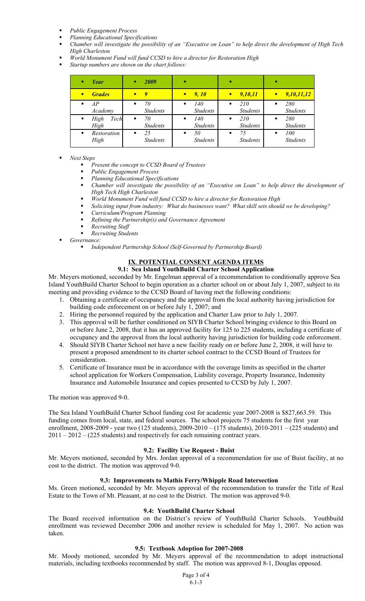- *Public Engagement Process*
- *Planning Educational Specifications*
- *Chamber will investigate the possibility of an "Executive on Loan" to help direct the development of High Tech High Charleston*
- *World Monument Fund will fund CCSD to hire a director for Restoration High*
- *Startup numbers are shown on the chart follows:*

|   | Year                 |   | 2009                  | л              |                        |                |                        |   |                        |
|---|----------------------|---|-----------------------|----------------|------------------------|----------------|------------------------|---|------------------------|
| П | <b>Grades</b>        | П | Q                     | п              | 9, 10                  | П              | 9,10,11                |   | 9,10,11,12             |
| ٠ | AP<br>Academy        | ٠ | 70<br><b>Students</b> | ٠              | 140<br><b>Students</b> | $\blacksquare$ | 210<br><b>Students</b> |   | 280<br><b>Students</b> |
| ٠ | High<br>Tech<br>High | ٠ | 70<br><b>Students</b> | $\blacksquare$ | 140<br><b>Students</b> | ٠              | 210<br><b>Students</b> | п | 280<br><b>Students</b> |
|   | Restoration<br>High  | п | 25<br><b>Students</b> | $\blacksquare$ | 50<br><b>Students</b>  | п              | 75<br><b>Students</b>  | п | 100<br><b>Students</b> |

#### *Next Steps*

- *Present the concept to CCSD Board of Trustees*
- *Public Engagement Process*
- *Planning Educational Specifications*
- *Chamber will investigate the possibility of an "Executive on Loan" to help direct the development of High Tech High Charleston*
- *World Monument Fund will fund CCSD to hire a director for Restoration High*
- *Soliciting input from industry: What do businesses want? What skill sets should we be developing?*
- *Curriculum/Program Planning*
- *Refining the Partnership(s) and Governance Agreement*
- *Recruiting Staff*
- *Recruiting Students*
- *Governance:*

*Independent Partnership School (Self-Governed by Partnership Board)* 

# **IX**. **POTENTIAL CONSENT AGENDA ITEMS**

# **9.1: Sea Island YouthBuild Charter School Application**

Mr. Meyers motioned, seconded by Mr. Engelman approval of a recommendation to conditionally approve Sea Island YouthBuild Charter School to begin operation as a charter school on or about July 1, 2007, subject to its meeting and providing evidence to the CCSD Board of having met the following conditions:

- 1. Obtaining a certificate of occupancy and the approval from the local authority having jurisdiction for building code enforcement on or before July 1, 2007; and
- 2. Hiring the personnel required by the application and Charter Law prior to July 1, 2007.
- 3. This approval will be further conditioned on SIYB Charter School bringing evidence to this Board on or before June 2, 2008, that it has an approved facility for 125 to 225 students, including a certificate of occupancy and the approval from the local authority having jurisdiction for building code enforcement.
- 4. Should SIYB Charter School not have a new facility ready on or before June 2, 2008, it will have to present a proposed amendment to its charter school contract to the CCSD Board of Trustees for consideration.
- 5. Certificate of Insurance must be in accordance with the coverage limits as specified in the charter school application for Workers Compensation, Liability coverage, Property Insurance, Indemnity Insurance and Automobile Insurance and copies presented to CCSD by July 1, 2007.

The motion was approved 9-0.

The Sea Island YouthBuild Charter School funding cost for academic year 2007-2008 is \$827,663.59. This funding comes from local, state, and federal sources. The school projects 75 students for the first year enrollment, 2008-2009 - year two (125 students), 2009-2010 – (175 students), 2010-2011 – (225 students) and 2011 – 2012 – (225 students) and respectively for each remaining contract years.

## **9.2: Facility Use Request - Buist**

Mr. Meyers motioned, seconded by Mrs. Jordan approval of a recommendation for use of Buist facility, at no cost to the district. The motion was approved 9-0.

## **9.3: Improvements to Mathis Ferry/Whipple Road Intersection**

Ms. Green motioned, seconded by Mr. Meyers approval of the recommendation to transfer the Title of Real Estate to the Town of Mt. Pleasant, at no cost to the District. The motion was approved 9-0.

## **9.4: YouthBuild Charter School**

The Board received information on the District's review of YouthBuild Charter Schools. Youthbuild enrollment was reviewed December 2006 and another review is scheduled for May 1, 2007. No action was taken.

## **9.5: Textbook Adoption for 2007-2008**

Mr. Moody motioned, seconded by Mr. Meyers approval of the recommendation to adopt instructional materials, including textbooks recommended by staff. The motion was approved 8-1, Douglas opposed.